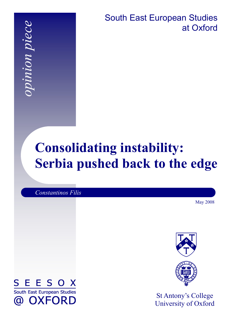*opinion piece*  pinion piece

South East European Studies at Oxford

# **Consolidating instability: Serbia pushed back to the edge**

*Constantinos Filis* 

May 2008





St Antony's College University of Oxford

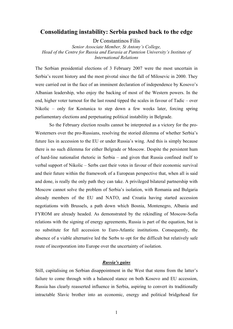### **Consolidating instability: Serbia pushed back to the edge**

Dr Constantinos Filis

*Senior Associate Member, St Antony's College, Head of the Centre for Russia and Eurasia at Panteion University's Institute of International Relations* 

The Serbian presidential elections of 3 February 2007 were the most uncertain in Serbia's recent history and the most pivotal since the fall of Milosevic in 2000. They were carried out in the face of an imminent declaration of independence by Kosovo's Albanian leadership, who enjoy the backing of most of the Western powers. In the end, higher voter turnout for the last round tipped the scales in favour of Tadic – over Nikolic – only for Kostunica to step down a few weeks later, forcing spring parliamentary elections and perpetuating political instability in Belgrade.

So the February election results cannot be interpreted as a victory for the pro-Westerners over the pro-Russians, resolving the storied dilemma of whether Serbia's future lies in accession to the EU or under Russia's wing. And this is simply because there is no such dilemma for either Belgrade or Moscow. Despite the persistent hum of hard-line nationalist rhetoric in Serbia – and given that Russia confined itself to verbal support of Nikolic – Serbs cast their votes in favour of their economic survival and their future within the framework of a European perspective that, when all is said and done, is really the only path they can take. A privileged bilateral partnership with Moscow cannot solve the problem of Serbia's isolation, with Romania and Bulgaria already members of the EU and NATO, and Croatia having started accession negotiations with Brussels, a path down which Bosnia, Montenegro, Albania and FYROM are already headed. As demonstrated by the rekindling of Moscow-Sofia relations with the signing of energy agreements, Russia is part of the equation, but is no substitute for full accession to Euro-Atlantic institutions. Consequently, the absence of a viable alternative led the Serbs to opt for the difficult but relatively safe route of incorporation into Europe over the uncertainty of isolation.

#### *Russia's gains*

Still, capitalising on Serbian disappointment in the West that stems from the latter's failure to come through with a balanced stance on both Kosovo and EU accession, Russia has clearly reasserted influence in Serbia, aspiring to convert its traditionally intractable Slavic brother into an economic, energy and political bridgehead for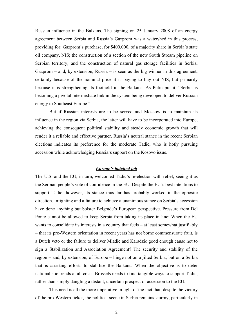Russian influence in the Balkans. The signing on 25 January 2008 of an energy agreement between Serbia and Russia's Gazprom was a watershed in this process, providing for: Gazprom's purchase, for \$400,000, of a majority share in Serbia's state oil company, NIS; the construction of a section of the new South Stream pipeline on Serbian territory; and the construction of natural gas storage facilities in Serbia. Gazprom – and, by extension, Russia – is seen as the big winner in this agreement, certainly because of the nominal price it is paying to buy out NIS, but primarily because it is strengthening its foothold in the Balkans. As Putin put it, "Serbia is becoming a pivotal intermediate link in the system being developed to deliver Russian energy to Southeast Europe."

But if Russian interests are to be served and Moscow is to maintain its influence in the region via Serbia, the latter will have to be incorporated into Europe, achieving the consequent political stability and steady economic growth that will render it a reliable and effective partner. Russia's neutral stance in the recent Serbian elections indicates its preference for the moderate Tadic, who is hotly pursuing accession while acknowledging Russia's support on the Kosovo issue.

#### *Europe's botched job*

The U.S. and the EU, in turn, welcomed Tadic's re-election with relief, seeing it as the Serbian people's vote of confidence in the EU. Despite the EU's best intentions to support Tadic, however, its stance thus far has probably worked in the opposite direction. Infighting and a failure to achieve a unanimous stance on Serbia's accession have done anything but bolster Belgrade's European perspective. Pressure from Del Ponte cannot be allowed to keep Serbia from taking its place in line: When the EU wants to consolidate its interests in a country that feels – at least somewhat justifiably – that its pro-Western orientation in recent years has not borne commensurate fruit, is a Dutch veto or the failure to deliver Mladic and Karadzic good enough cause not to sign a Stabilization and Association Agreement? The security and stability of the region – and, by extension, of Europe – hinge not on a jilted Serbia, but on a Serbia that is assisting efforts to stabilise the Balkans. When the objective is to deter nationalistic trends at all costs, Brussels needs to find tangible ways to support Tadic, rather than simply dangling a distant, uncertain prospect of accession to the EU.

This need is all the more imperative in light of the fact that, despite the victory of the pro-Western ticket, the political scene in Serbia remains stormy, particularly in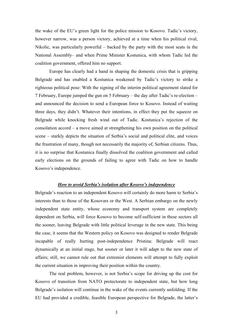the wake of the EU's green light for the police mission to Kosovo. Tadic's victory, however narrow, was a person victory, achieved at a time when his political rival, Nikolic, was particularly powerful – backed by the party with the most seats in the National Assembly– and when Prime Minister Kostunica, with whom Tadic led the coalition government, offered him no support.

Europe has clearly had a hand in shaping the domestic crisis that is gripping Belgrade and has enabled a Kostunica weakened by Tadic's victory to strike a righteous political pose: With the signing of the interim political agreement slated for 7 February, Europe jumped the gun on 5 February – the day after Tadic's re-election – and announced the decision to send a European force to Kosovo. Instead of waiting three days, they didn't. Whatever their intentions, in effect they put the squeeze on Belgrade while knocking fresh wind out of Tadic. Kostunica's rejection of the consolation accord – a move aimed at strengthening his own position on the political scene – starkly depicts the situation of Serbia's social and political elite, and voices the frustration of many, though not necessarily the majority of, Serbian citizens. Thus, it is no surprise that Kostunica finally dissolved the coalition government and called early elections on the grounds of failing to agree with Tadic on how to handle Kosovo's independence.

#### *How to avoid Serbia's isolation after Kosovo's independence*

Belgrade's reaction to an independent Kosovo will certainly do more harm to Serbia's interests than to those of the Kosovars or the West. A Serbian embargo on the newly independent state entity, whose economy and transport system are completely dependent on Serbia, will force Kosovo to become self-sufficient in these sectors all the sooner, leaving Belgrade with little political leverage in the new state. This being the case, it seems that the Western policy on Kosovo was designed to render Belgrade incapable of really hurting post-independence Pristina: Belgrade will react dynamically at an initial stage, but sooner or later it will adapt to the new state of affairs; still, we cannot rule out that extremist elements will attempt to fully exploit the current situation in improving their position within the country.

The real problem, however, is not Serbia's scope for driving up the cost for Kosovo of transition from NATO protectorate to independent state, but how long Belgrade's isolation will continue in the wake of the events currently unfolding. If the EU had provided a credible, feasible European perspective for Belgrade, the latter's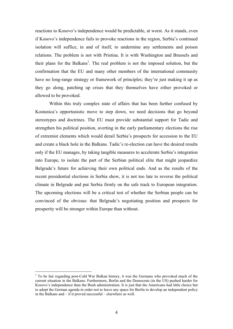reactions to Kosovo's independence would be predictable, at worst. As it stands, even if Kosovo's independence fails to provoke reactions in the region, Serbia's continued isolation will suffice, in and of itself, to undermine any settlements and poison relations. The problem is not with Pristina. It is with Washington and Brussels and their plans for the Balkans<sup>1</sup>. The real problem is not the imposed solution, but the confirmation that the EU and many other members of the international community have no long-range strategy or framework of principles; they're just making it up as they go along, patching up crises that they themselves have either provoked or allowed to be provoked.

Within this truly complex state of affairs that has been further confused by Kostunica's opportunistic move to step down, we need decisions that go beyond stereotypes and doctrines. The EU must provide substantial support for Tadic and strengthen his political position, averting in the early parliamentary elections the rise of extremist elements which would derail Serbia's prospects for accession to the EU and create a black hole in the Balkans. Tadic's re-election can have the desired results only if the EU manages, by taking tangible measures to accelerate Serbia's integration into Europe, to isolate the part of the Serbian political elite that might jeopardize Belgrade's future for achieving their own political ends. And as the results of the recent presidential elections in Serbia show, it is not too late to reverse the political climate in Belgrade and put Serbia firmly on the safe track to European integration. The upcoming elections will be a critical test of whether the Serbian people can be convinced of the obvious: that Belgrade's negotiating position and prospects for prosperity will be stronger within Europe than without.

1

<sup>&</sup>lt;sup>1</sup> To be fair regarding post-Cold War Balkan history, it was the Germans who provoked much of the current situation in the Balkans. Furthermore, Berlin and the Democrats (in the US) pushed harder for Kosovo's independence than the Bush administration. It is just that the Americans had little choice but to adopt the German agenda in order not to leave any space for Berlin to develop an independent policy in the Balkans and – if it proved successful – elsewhere as well.